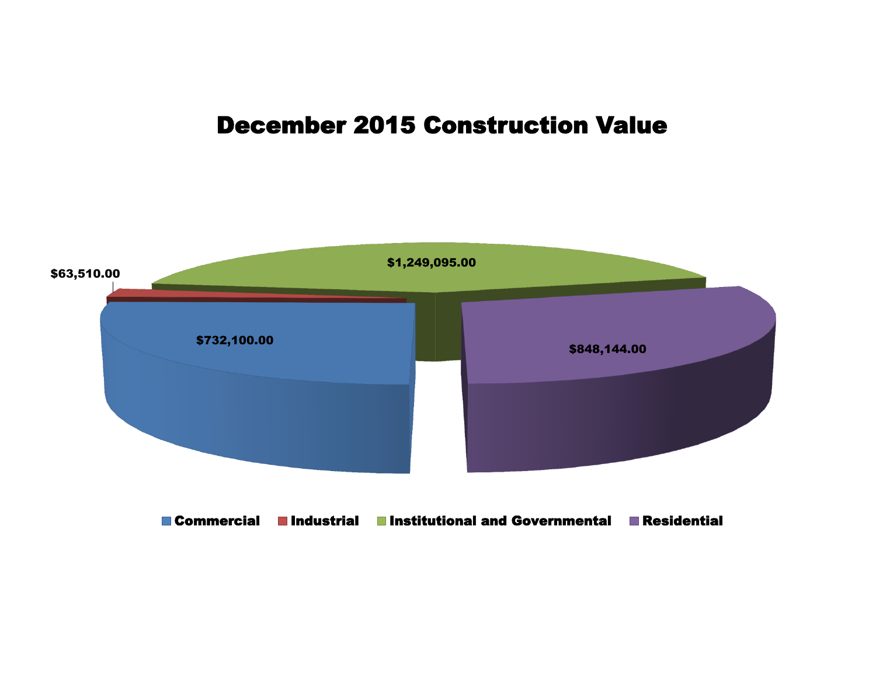## December 2015 Construction Value

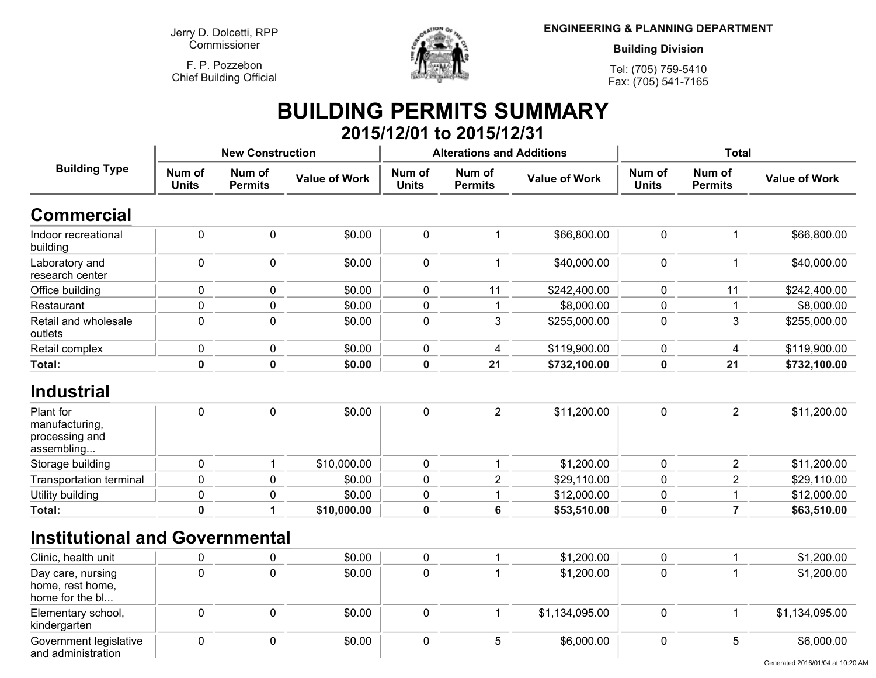**Jerry D. Dolcetti, RPPCommissioner**

**F. P. PozzebonChief Building Official**



**ENGINEERING & PLANNING DEPARTMENT**

**Building Division**

**Tel: (705) 759-5410Fax: (705) 541-7165**

## **BUILDING PERMITS SUMMARY 2015/12/01 to 2015/12/31**

| <b>Building Type</b>                                        |                        | <b>New Construction</b>  |                      |                        | <b>Alterations and Additions</b> |                      | <b>Total</b>           |                          |                                                |
|-------------------------------------------------------------|------------------------|--------------------------|----------------------|------------------------|----------------------------------|----------------------|------------------------|--------------------------|------------------------------------------------|
|                                                             | Num of<br><b>Units</b> | Num of<br><b>Permits</b> | <b>Value of Work</b> | Num of<br><b>Units</b> | Num of<br><b>Permits</b>         | <b>Value of Work</b> | Num of<br><b>Units</b> | Num of<br><b>Permits</b> | <b>Value of Work</b>                           |
| <b>Commercial</b>                                           |                        |                          |                      |                        |                                  |                      |                        |                          |                                                |
| Indoor recreational<br>building                             | $\mathbf 0$            | $\mathbf 0$              | \$0.00               | $\mathbf 0$            | $\mathbf 1$                      | \$66,800.00          | $\mathbf 0$            | 1                        | \$66,800.00                                    |
| Laboratory and<br>research center                           | $\mathbf 0$            | $\mathbf 0$              | \$0.00               | $\mathbf 0$            | $\mathbf{1}$                     | \$40,000.00          | $\mathbf 0$            | 1                        | \$40,000.00                                    |
| Office building                                             | $\mathbf 0$            | $\mathbf 0$              | \$0.00               | $\mathbf 0$            | 11                               | \$242,400.00         | $\mathbf 0$            | 11                       | \$242,400.00                                   |
| Restaurant                                                  | $\mathbf 0$            | $\mathbf 0$              | \$0.00               | $\mathbf 0$            | 1                                | \$8,000.00           | $\mathbf 0$            |                          | \$8,000.00                                     |
| Retail and wholesale<br>outlets                             | $\mathbf 0$            | $\mathbf 0$              | \$0.00               | 0                      | 3                                | \$255,000.00         | $\pmb{0}$              | 3                        | \$255,000.00                                   |
| Retail complex                                              | $\pmb{0}$              | 0                        | \$0.00               | 0                      | 4                                | \$119,900.00         | $\pmb{0}$              | $\overline{4}$           | \$119,900.00                                   |
| Total:                                                      | $\mathbf 0$            | $\mathbf 0$              | \$0.00               | $\mathbf 0$            | 21                               | \$732,100.00         | $\mathbf 0$            | 21                       | \$732,100.00                                   |
| <b>Industrial</b>                                           |                        |                          |                      |                        |                                  |                      |                        |                          |                                                |
| Plant for<br>manufacturing,<br>processing and<br>assembling | $\mathbf 0$            | $\mathbf 0$              | \$0.00               | $\mathbf 0$            | $\overline{2}$                   | \$11,200.00          | $\mathbf 0$            | $\overline{2}$           | \$11,200.00                                    |
| Storage building                                            | $\mathbf 0$            | $\mathbf 1$              | \$10,000.00          | $\mathbf 0$            | -1                               | \$1,200.00           | $\mathbf 0$            | $\overline{2}$           | \$11,200.00                                    |
| Transportation terminal                                     | $\mathbf 0$            | $\mathbf 0$              | \$0.00               | $\mathbf 0$            | $\overline{2}$                   | \$29,110.00          | $\mathbf 0$            | $\overline{2}$           | \$29,110.00                                    |
| Utility building                                            | $\mathbf 0$            | $\pmb{0}$                | \$0.00               | $\mathbf 0$            |                                  | \$12,000.00          | $\pmb{0}$              |                          | \$12,000.00                                    |
| Total:                                                      | $\mathbf 0$            | 1                        | \$10,000.00          | 0                      | $6\phantom{a}$                   | \$53,510.00          | $\mathbf 0$            | $\overline{7}$           | \$63,510.00                                    |
| <b>Institutional and Governmental</b>                       |                        |                          |                      |                        |                                  |                      |                        |                          |                                                |
| Clinic, health unit                                         | 0                      | 0                        | \$0.00               | 0                      | 1                                | \$1,200.00           | $\pmb{0}$              |                          | \$1,200.00                                     |
| Day care, nursing<br>home, rest home,<br>home for the bl    | $\mathbf 0$            | $\mathbf 0$              | \$0.00               | $\mathbf 0$            |                                  | \$1,200.00           | $\mathbf 0$            |                          | \$1,200.00                                     |
| Elementary school,<br>kindergarten                          | $\mathbf 0$            | $\mathbf 0$              | \$0.00               | 0                      | $\mathbf{1}$                     | \$1,134,095.00       | $\pmb{0}$              |                          | \$1,134,095.00                                 |
| Government legislative<br>and administration                | $\mathbf 0$            | $\mathbf 0$              | \$0.00               | $\mathbf 0$            | 5                                | \$6,000.00           | $\mathbf 0$            | 5                        | \$6,000.00<br>Generated 2016/01/04 at 10:20 AM |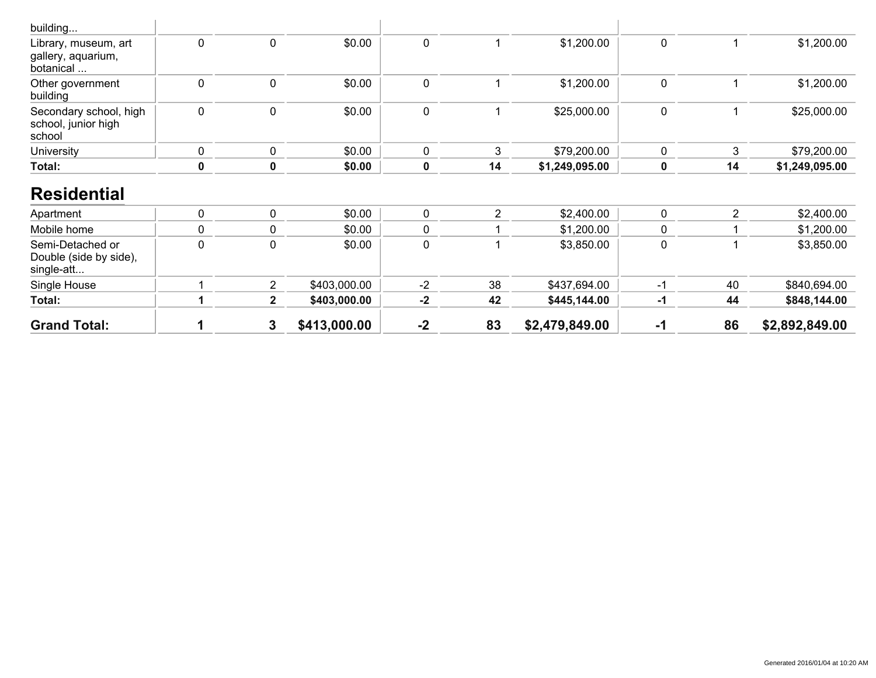| school, junior high<br>school                                           |        |                |                  |                  |                |                          |                            |    |                          |
|-------------------------------------------------------------------------|--------|----------------|------------------|------------------|----------------|--------------------------|----------------------------|----|--------------------------|
| <b>University</b>                                                       | 0      | 0              | \$0.00           | 0                | 3              | \$79,200.00              | 0                          | 3  | \$79,200.00              |
| Total:                                                                  | 0      | 0              | \$0.00           | 0                | 14             | \$1,249,095.00           | $\mathbf 0$                | 14 | \$1,249,095.00           |
| <b>Residential</b><br>Apartment                                         | 0      | 0              | \$0.00           | $\mathbf 0$      | $\overline{2}$ | \$2,400.00               | $\mathbf 0$                | 2  | \$2,400.00               |
|                                                                         |        |                |                  |                  |                |                          |                            |    |                          |
|                                                                         |        |                |                  |                  |                |                          |                            |    |                          |
| Mobile home<br>Semi-Detached or<br>Double (side by side),<br>single-att | 0<br>0 | 0<br>0         | \$0.00<br>\$0.00 | 0<br>$\mathbf 0$ |                | \$1,200.00<br>\$3,850.00 | $\mathbf 0$<br>$\mathbf 0$ |    | \$1,200.00<br>\$3,850.00 |
| Single House                                                            |        | $\overline{2}$ | \$403,000.00     | $-2$             | 38             | \$437,694.00             | -1                         | 40 | \$840,694.00             |
| Total:                                                                  |        | $2^{\circ}$    | \$403,000.00     | $-2$             | 42             | \$445,144.00             | $-1$                       | 44 | \$848,144.00             |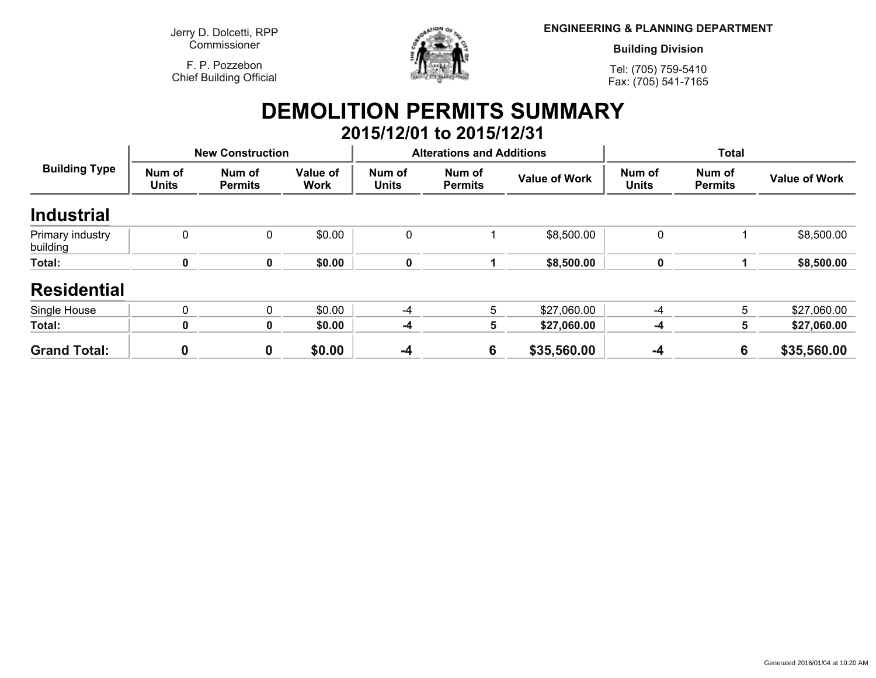**Jerry D. Dolcetti, RPPCommissioner**

**F. P. PozzebonChief Building Official**



**ENGINEERING & PLANNING DEPARTMENT**

**Building Division**

**Tel: (705) 759-5410Fax: (705) 541-7165**

## **DEMOLITION PERMITS SUMMARY 2015/12/01 to 2015/12/31**

| <b>Building Type</b>         |                        | <b>New Construction</b>  |                         |                        | <b>Alterations and Additions</b> |                      | <b>Total</b>           |                          |                      |
|------------------------------|------------------------|--------------------------|-------------------------|------------------------|----------------------------------|----------------------|------------------------|--------------------------|----------------------|
|                              | Num of<br><b>Units</b> | Num of<br><b>Permits</b> | Value of<br><b>Work</b> | Num of<br><b>Units</b> | Num of<br><b>Permits</b>         | <b>Value of Work</b> | Num of<br><b>Units</b> | Num of<br><b>Permits</b> | <b>Value of Work</b> |
| <b>Industrial</b>            |                        |                          |                         |                        |                                  |                      |                        |                          |                      |
| Primary industry<br>building | $\Omega$               | 0                        | \$0.00                  | 0                      |                                  | \$8,500.00           | 0                      |                          | \$8,500.00           |
| Total:                       | 0                      | $\mathbf 0$              | \$0.00                  | 0                      |                                  | \$8,500.00           | $\mathbf 0$            |                          | \$8,500.00           |
| <b>Residential</b>           |                        |                          |                         |                        |                                  |                      |                        |                          |                      |
| Single House                 | $\Omega$               | $\mathbf{0}$             | \$0.00                  | -4                     | 5                                | \$27,060.00          | $-4$                   | 5                        | \$27,060.00          |
| Total:                       | 0                      | 0                        | \$0.00                  | $-4$                   | 5                                | \$27,060.00          | -4                     | 5                        | \$27,060.00          |
| <b>Grand Total:</b>          | 0                      | $\mathbf 0$              | \$0.00                  | $-4$                   | 6                                | \$35,560.00          | -4                     | 6                        | \$35,560.00          |